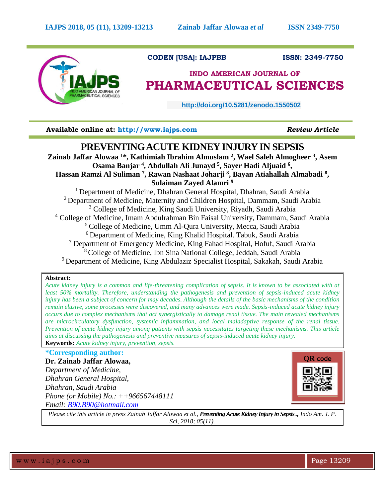

# **CODEN [USA]: IAJPBB ISSN: 2349-7750**

# **INDO AMERICAN JOURNAL OF PHARMACEUTICAL SCIENCES**

 **http://doi.org/10.5281/zenodo.1550502** 

**Available online at: [http://www.iajps.com](http://www.iajps.com/)** *Review Article*

# **PREVENTING ACUTE KIDNEY INJURY IN SEPSIS**

**Zainab Jaffar Alowaa <sup>1</sup>\*, Kathimiah Ibrahim Almuslam <sup>2</sup> , Wael Saleh Almogheer <sup>3</sup> , Asem Osama Banjar <sup>4</sup> , Abdullah Ali Junayd <sup>5</sup> , Sayer Hadi Aljuaid <sup>6</sup> , Hassan Ramzi Al Suliman <sup>7</sup> , Rawan Nashaat Joharji <sup>8</sup> , Bayan Atiahallah Almabadi <sup>8</sup> , Sulaiman Zayed Alamri <sup>9</sup>**

<sup>1</sup> Department of Medicine, Dhahran General Hospital, Dhahran, Saudi Arabia <sup>2</sup> Department of Medicine, Maternity and Children Hospital, Dammam, Saudi Arabia <sup>3</sup> College of Medicine, King Saudi University, Riyadh, Saudi Arabia <sup>4</sup> College of Medicine, Imam Abdulrahman Bin Faisal University, Dammam, Saudi Arabia <sup>5</sup> College of Medicine, Umm Al-Qura University, Mecca, Saudi Arabia <sup>6</sup> Department of Medicine, King Khalid Hospital. Tabuk, Saudi Arabia  $<sup>7</sup>$  Department of Emergency Medicine, King Fahad Hospital, Hofuf, Saudi Arabia</sup> <sup>8</sup>College of Medicine, Ibn Sina National College, Jeddah, Saudi Arabia <sup>9</sup> Department of Medicine, King Abdulaziz Specialist Hospital, Sakakah, Saudi Arabia

# **Abstract:**

*Acute kidney injury is a common and life-threatening complication of sepsis. It is known to be associated with at least 50% mortality. Therefore, understanding the pathogenesis and prevention of sepsis-induced acute kidney injury has been a subject of concern for may decades. Although the details of the basic mechanisms of the condition remain elusive, some processes were discovered, and many advances were made. Sepsis-induced acute kidney injury occurs due to complex mechanisms that act synergistically to damage renal tissue. The main revealed mechanisms are microcirculatory dysfunction, systemic inflammation, and local maladaptive response of the renal tissue. Prevention of acute kidney injury among patients with sepsis necessitates targeting these mechanisms. This article aims at discussing the pathogenesis and preventive measures of sepsis-induced acute kidney injury.* **Keywords:** *Acute kidney injury, prevention, sepsis.*

**\*Corresponding author:**

**Dr. Zainab Jaffar Alowaa,** *Department of Medicine, Dhahran General Hospital, Dhahran, Saudi Arabia Phone (or Mobile) No.: ++966567448111 Email: [B90.B90@hotmail.com](mailto:B90.B90@hotmail.com)*



*Please cite this article in press Zainab Jaffar Alowaa et al., Preventing Acute Kidney Injury in Sepsis ., Indo Am. J. P. Sci, 2018; 05(11).*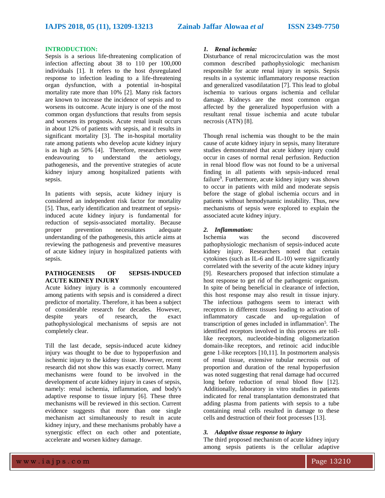### **INTRODUCTION:**

Sepsis is a serious life-threatening complication of infection affecting about 38 to 110 per 100,000 individuals [1]. It refers to the host dysregulated response to infection leading to a life-threatening organ dysfunction, with a potential in-hospital mortality rate more than 10% [2]. Many risk factors are known to increase the incidence of sepsis and to worsens its outcome. Acute injury is one of the most common organ dysfunctions that results from sepsis and worsens its prognosis. Acute renal insult occurs in about 12% of patients with sepsis, and it results in significant mortality [3]. The in-hospital mortality rate among patients who develop acute kidney injury is as high as 50% [4]. Therefore, researchers were endeavouring to understand the aetiology, pathogenesis, and the preventive strategies of acute kidney injury among hospitalized patients with sepsis.

In patients with sepsis, acute kidney injury is considered an independent risk factor for mortality [5]. Thus, early identification and treatment of sepsisinduced acute kidney injury is fundamental for reduction of sepsis-associated mortality. Because<br>proper prevention necessitates adequate proper prevention necessitates adequate understanding of the pathogenesis, this article aims at reviewing the pathogenesis and preventive measures of acute kidney injury in hospitalized patients with sepsis.

# **PATHOGENESIS OF SEPSIS-INDUCED ACUTE KIDNEY INJURY**

Acute kidney injury is a commonly encountered among patients with sepsis and is considered a direct predictor of mortality. Therefore, it has been a subject of considerable research for decades. However, despite years of research, the exact pathophysiological mechanisms of sepsis are not completely clear.

Till the last decade, sepsis-induced acute kidney injury was thought to be due to hypoperfusion and ischemic injury to the kidney tissue. However, recent research did not show this was exactly correct. Many mechanisms were found to be involved in the development of acute kidney injury in cases of sepsis. namely: renal ischemia, inflammation, and body's adaptive response to tissue injury [6]. These three mechanisms will be reviewed in this section. Current evidence suggests that more than one single mechanism act simultaneously to result in acute kidney injury, and these mechanisms probably have a synergistic effect on each other and potentiate, accelerate and worsen kidney damage.

#### *1. Renal ischemia:*

Disturbance of renal microcirculation was the most common described pathophysiologic mechanism responsible for acute renal injury in sepsis. Sepsis results in a systemic inflammatory response reaction and generalized vasodilatation [7]. This lead to global ischemia to various organs ischemia and cellular damage. Kidneys are the most common organ affected by the generalized hypoperfusion with a resultant renal tissue ischemia and acute tubular necrosis (ATN) [8].

Though renal ischemia was thought to be the main cause of acute kidney injury in sepsis, many literature studies demonstrated that acute kidney injury could occur in cases of normal renal perfusion. Reduction in renal blood flow was not found to be a universal finding in all patients with sepsis-induced renal failure<sup>9</sup>. Furthermore, acute kidney injury was shown to occur in patients with mild and moderate sepsis before the stage of global ischemia occurs and in patients without hemodynamic instability. Thus, new mechanisms of sepsis were explored to explain the associated acute kidney injury.

#### *2. Inflammation:*

Ischemia was the second discovered pathophysiologic mechanism of sepsis-induced acute kidney injury. Researchers noted that certain cytokines (such as IL-6 and IL-10) were significantly correlated with the severity of the acute kidney injury [9]. Researchers proposed that infection stimulate a host response to get rid of the pathogenic organism. In spite of being beneficial in clearance of infection, this host response may also result in tissue injury. The infectious pathogens seem to interact with receptors in different tissues leading to activation of inflammatory cascade and up-regulation of transcription of genes included in inflammation<sup>5</sup>. The identified receptors involved in this process are tolllike receptors, nucleotide-binding oligomerization domain-like receptors, and retinoic acid inducible gene 1-like receptors [10,11]. In postmortem analysis of renal tissue, extensive tubular necrosis out of proportion and duration of the renal hypoperfusion was noted suggesting that renal damage had occurred long before reduction of renal blood flow [12]. Additionally, laboratory in vitro studies in patients indicated for renal transplantation demonstrated that adding plasma from patients with sepsis to a tube containing renal cells resulted in damage to these cells and destruction of their foot processes [13].

# *3. Adaptive tissue response to injury*

The third proposed mechanism of acute kidney injury among sepsis patients is the cellular adaptive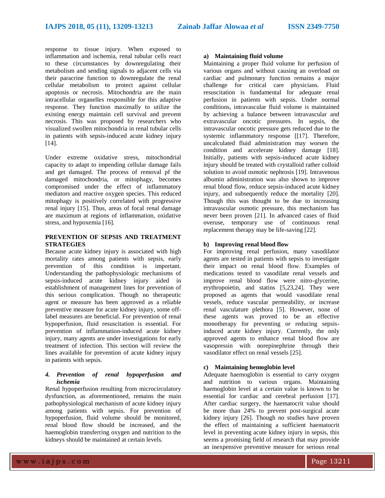response to tissue injury. When exposed to inflammation and ischemia, renal tubular cells react to these circumstances by downregulating their metabolism and sending signals to adjacent cells via their paracrine function to downregulate the renal cellular metabolism to protect against cellular apoptosis or necrosis. Mitochondria are the main intracellular organelles responsible for this adaptive response. They function maximally to utilize the existing energy maintain cell survival and prevent necrosis. This was proposed by researchers who visualized swollen mitochondria in renal tubular cells in patients with sepsis-induced acute kidney injury [14].

Under extreme oxidative stress, mitochondrial capacity to adapt to impending cellular damage fails and get damaged. The process of removal pf the damaged mitochondria, or mitophagy, becomes compromised under the effect of inflammatory mediators and reactive oxygen species. This reduced mitophagy is positively correlated with progressive renal injury [15]. Thus, areas of focal renal damage are maximum at regions of inflammation, oxidative stress, and hypoxemia [16].

# **PREVENTION OF SEPSIS AND TREATMENT STRATEGIES**

Because acute kidney injury is associated with high mortality rates among patients with sepsis, early prevention of this condition is important. Understanding the pathophysiologic mechanisms of sepsis-induced acute kidney injury aided in establishment of management lines for prevention of this serious complication. Though no therapeutic agent or measure has been approved as a reliable preventive measure for acute kidney injury, some offlabel measures are beneficial. For prevention of renal hypoperfusion, fluid resuscitation is essential. For prevention of inflammation-induced acute kidney injury, many agents are under investigations for early treatment of infection. This section will review the lines available for prevention of acute kidney injury in patients with sepsis.

# *4. Prevention of renal hypoperfusion and ischemia*

Renal hypoperfusion resulting from microcirculatory dysfunction, as aforementioned, remains the main pathophysiological mechanism of acute kidney injury among patients with sepsis. For prevention of hypoperfusion, fluid volume should be monitored, renal blood flow should be increased, and the haemoglobin transferring oxygen and nutrition to the kidneys should be maintained at certain levels.

# **a) Maintaining fluid volume**

Maintaining a proper fluid volume for perfusion of various organs and without causing an overload on cardiac and pulmonary function remains a major challenge for critical care physicians. Fluid resuscitation is fundamental for adequate renal perfusion in patients with sepsis. Under normal conditions, intravascular fluid volume is maintained by achieving a balance between intravascular and extravascular oncotic pressures. In sepsis, the intravascular oncotic pressure gets reduced due to the systemic inflammatory response [[17]. Therefore, uncalculated fluid administration may worsen the condition and accelerate kidney damage [18]. Initially, patients with sepsis-induced acute kidney injury should be treated with crystalloid rather colloid solution to avoid osmotic nephrosis [19]. Intravenous albumin administration was also shown to improve renal blood flow, reduce sepsis-induced acute kidney injury, and subsequently reduce the mortality [20]. Though this was thought to be due to increasing intravascular osmotic pressure, this mechanism has never been proven [21]. In advanced cases of fluid overuse, temporary use of continuous renal replacement therapy may be life-saving [22].

## **b) Improving renal blood flow**

For improving renal perfusion, many vasodilator agents are tested in patients with sepsis to investigate their impact on renal blood flow. Examples of medications tested to vasodilate renal vessels and improve renal blood flow were nitro-glycerine, erythropoietin, and statins [5,23,24]. They were proposed as agents that would vasodilate renal vessels, reduce vascular permeability, or increase renal vasculature plethora [5]. However, none of these agents was proved to be an effective monotherapy for preventing or reducing sepsisinduced acute kidney injury. Currently, the only approved agents to enhance renal blood flow are vasopressin with norepinephrine through their vasodilator effect on renal vessels [25].

# **c) Maintaining hemoglobin level**

Adequate haemoglobin is essential to carry oxygen and nutrition to various organs. Maintaining haemoglobin level at a certain value is known to be essential for cardiac and cerebral perfusion [17]. After cardiac surgery, the haematocrit value should be more than 24% to prevent post-surgical acute kidney injury [26]. Though no studies have proven the effect of maintaining a sufficient haematocrit level in preventing acute kidney injury in sepsis, this seems a promising field of research that may provide an inexpensive preventive measure for serious renal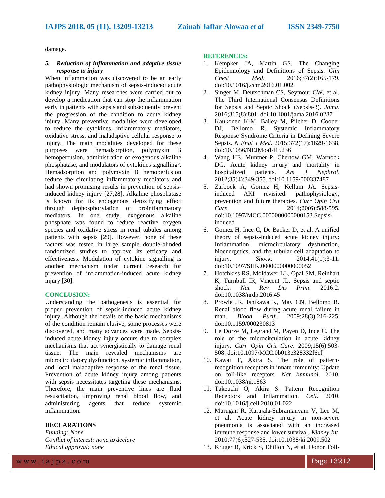damage.

#### *5. Reduction of inflammation and adaptive tissue response to injury*

When inflammation was discovered to be an early pathophysiologic mechanism of sepsis-induced acute kidney injury. Many researches were carried out to develop a medication that can stop the inflammation early in patients with sepsis and subsequently prevent the progression of the condition to acute kidney injury. Many preventive modalities were developed to reduce the cytokines, inflammatory mediators, oxidative stress, and maladaptive cellular response to injury. The main modalities developed for these purposes were hemadsorption, polymyxin B hemoperfusion, administration of exogenous alkaline phosphatase, and modulators of cytokines signalling<sup>5</sup>. Hemadsorption and polymyxin B hemoperfusion reduce the circulating inflammatory mediators and had shown promising results in prevention of sepsisinduced kidney injury [27,28]. Alkaline phosphatase is known for its endogenous detoxifying effect through dephosphorylation of proinflammatory mediators. In one study, exogenous alkaline phosphate was found to reduce reactive oxygen species and oxidative stress in renal tubules among patients with sepsis [29]. However, none of these factors was tested in large sample double-blinded randomized studies to approve its efficacy and effectiveness. Modulation of cytokine signalling is another mechanism under current research for prevention of inflammation-induced acute kidney injury [30].

# **CONCLUSION:**

Understanding the pathogenesis is essential for proper prevention of sepsis-induced acute kidney injury. Although the details of the basic mechanisms of the condition remain elusive, some processes were discovered, and many advances were made. Sepsisinduced acute kidney injury occurs due to complex mechanisms that act synergistically to damage renal tissue. The main revealed mechanisms are microcirculatory dysfunction, systemic inflammation, and local maladaptive response of the renal tissue. Prevention of acute kidney injury among patients with sepsis necessitates targeting these mechanisms. Therefore, the main preventive lines are fluid resuscitation, improving renal blood flow, and administering agents that reduce systemic inflammation.

# **DECLARATIONS**

*Funding: None Conflict of interest: none to declare Ethical approval: none*

## **REFERENCES:**

- 1. Kempker JA, Martin GS. The Changing Epidemiology and Definitions of Sepsis. *Clin Chest Med*. 2016;37(2):165-179. doi:10.1016/j.ccm.2016.01.002
- 2. Singer M, Deutschman CS, Seymour CW, et al. The Third International Consensus Definitions for Sepsis and Septic Shock (Sepsis-3). *Jama*. 2016;315(8):801. doi:10.1001/jama.2016.0287
- 3. Kaukonen K-M, Bailey M, Pilcher D, Cooper DJ, Bellomo R. Systemic Inflammatory Response Syndrome Criteria in Defining Severe Sepsis. *N Engl J Med*. 2015;372(17):1629-1638. doi:10.1056/NEJMoa1415236
- 4. Wang HE, Muntner P, Chertow GM, Warnock DG. Acute kidney injury and mortality in hospitalized patients. *Am J Nephrol*. 2012;35(4):349-355. doi:10.1159/000337487
- 5. Zarbock A, Gomez H, Kellum JA. Sepsisinduced AKI revisited: pathophysiology, prevention and future therapies. *Curr Opin Crit Care*. 2014;20(6):588-595. doi:10.1097/MCC.0000000000000153.Sepsisinduced
- 6. Gomez H, Ince C, De Backer D, et al. A unified theory of sepsis-induced acute kidney injury: Inflammation, microcirculatory dysfunction, bioenergetics, and the tubular cell adaptation to injury. *Shock*. 2014;41(1):3-11. doi:10.1097/SHK.0000000000000052
- 7. Hotchkiss RS, Moldawer LL, Opal SM, Reinhart K, Turnbull IR, Vincent JL. Sepsis and septic shock. *Nat Rev Dis Prim*. 2016;2. doi:10.1038/nrdp.2016.45
- 8. Prowle JR, Ishikawa K, May CN, Bellomo R. Renal blood flow during acute renal failure in man. *Blood Purif*. 2009;28(3):216-225. doi:10.1159/000230813
- 9. Le Dorze M, Legrand M, Payen D, Ince C. The role of the microcirculation in acute kidney injury. *Curr Opin Crit Care*. 2009;15(6):503- 508. doi:10.1097/MCC.0b013e328332f6cf
- 10. Kawai T, Akira S. The role of patternrecognition receptors in innate immunity: Update on toll-like receptors. *Nat Immunol*. 2010. doi:10.1038/ni.1863
- 11. Takeuchi O, Akira S. Pattern Recognition Receptors and Inflammation. *Cell*. 2010. doi:10.1016/j.cell.2010.01.022
- 12. Murugan R, Karajala-Subramanyam V, Lee M, et al. Acute kidney injury in non-severe pneumonia is associated with an increased immune response and lower survival. *Kidney Int*. 2010;77(6):527-535. doi:10.1038/ki.2009.502
- 13. Kruger B, Krick S, Dhillon N, et al. Donor Toll-

w w w . i a j p s . c o m Page 13212